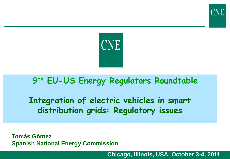

## **9th EU-US Energy Regulators Roundtable**

**Integration of electric vehicles in smart distribution grids: Regulatory issues**

**Tomás Gómez Spanish National Energy Commission**

**Chicago, Illinois, USA. October 3-4, 2011**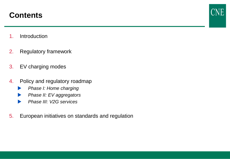## **Contents**

- 1. Introduction
- 2. Regulatory framework
- 3. EV charging modes
- 4. Policy and regulatory roadmap
	- *Phase I: Home charging*
	- *Phase II: EV aggregators*
	- *Phase III: V2G services*
- 5. European initiatives on standards and regulation

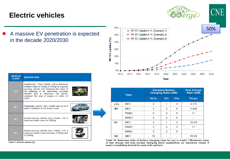#### **Electric vehicles**

 A massive EV penetration is expected in the decade 2020/2030

| <b>VEHICLE</b><br><b>CLASS</b> | <b>DESCRIPTION</b>                                                                                                                                                                                                                                                                       |  |
|--------------------------------|------------------------------------------------------------------------------------------------------------------------------------------------------------------------------------------------------------------------------------------------------------------------------------------|--|
| L7e                            | Quadricycle - Four wheels, with a maximum<br>unladen mass of 400kg or 550kg for a goods<br>carrying vehicle (not including the mass of<br>the batteries in an electrically powered<br>vehicle) and a maximum net power,<br>whatever the type of engine or motor, of<br>15 <sub>k</sub> W |  |
| M1                             | Passenger vehicle, four wheels and up to 8<br>seats in addition to the driver's seat.                                                                                                                                                                                                    |  |
| N <sub>1</sub>                 | Goods-carrying vehicle, four wheels, with a<br>maximum laden mass of 3500kg.                                                                                                                                                                                                             |  |
| N <sub>2</sub>                 | Goods-carrying vehicle, four wheels, with a<br>maximum laden mass between 3,500kg and<br>12,000kg.                                                                                                                                                                                       |  |

Table 5: Vehicle classes [5]



| <b>Type</b>    |             | <b>Standard Battery</b><br><b>Charging Rates (kW)</b> |            |            | <b>Fast Charge</b><br>Rate* (kW) |
|----------------|-------------|-------------------------------------------------------|------------|------------|----------------------------------|
|                |             | Mode                                                  | <b>Min</b> | <b>Max</b> | Range                            |
| L7e            | <b>BEV</b>  | 3                                                     | 1          | 3          | $3 - 7.5$                        |
| M <sub>1</sub> | <b>BEV</b>  | 3                                                     | 2          | 9          | $3 - 240$                        |
|                | <b>PHEV</b> | 3                                                     | 3          | 5          | 11                               |
|                | <b>EREV</b> | 3                                                     | 3          | 5          |                                  |
| N <sub>1</sub> | <b>BEV</b>  | 3                                                     | 1          | 3          | $10 - 45$                        |
|                | <b>PHEV</b> | 3                                                     | 3          | 3          | 11                               |
|                | <b>EREV</b> | 3                                                     | 3          | 5          |                                  |
| N <sub>2</sub> | BEV         | 10                                                    |            |            | $35 - 60$                        |

Table 19: Summary table of battery charging rates for use in model. (\*Maximum value of fast charge rate may exceed charging point capabilities, so maximum values if used in modelling should be used with caution)

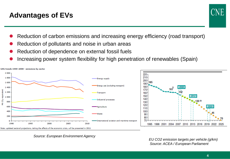## **Advantages of EVs**

- Reduction of carbon emissions and increasing energy efficiency (road transport)
- Reduction of pollutants and noise in urban areas
- Reduction of dependence on external fossil fuels
- Increasing power system flexibility for high penetration of renewables (Spain)



*Source: European Environment Agency*

*EU CO2 emission targets per vehicle (g/km) Source: ACEA / European Parliament*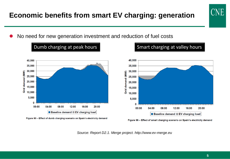#### **Economic benefits from smart EV charging: generation**

No need for new generation investment and reduction of fuel costs





Figure 96 - Effect of smart charging scenario on Spain's electricity demand

*Source: Report D2.1. Merge project. http://www.ev-merge.eu*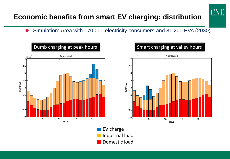## **Economic benefits from smart EV charging: distribution**

Simulation: Area with 170.000 electricity consumers and 31.200 EVs (2030)

UNE

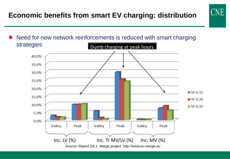## **Economic benefits from smart EV charging: distribution**

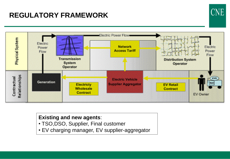## **REGULATORY FRAMEWORK**



UNE

#### **Existing and new agents**:

- TSO,DSO, Supplier, Final customer
- EV charging manager, EV supplier-aggregator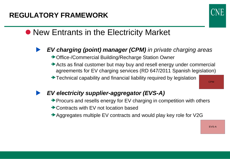

# • New Entrants in the Electricity Market

- *EV charging (point) manager (CPM) in private charging areas*
	- **→ Office-/Commercial Building/Recharge Station Owner**
	- Acts as final customer but may buy and resell energy under commercial agreements for EV charging services (RD 647/2011 Spanish legislation)
	- **★Technical capability and financial liability required by legislation**

CPM

- *EV electricity supplier-aggregator (EVS-A)*
	- $\rightarrow$  Procurs and resells energy for EV charging in competition with others
	- **► Contracts with EV not location based**
	- Aggregates multiple EV contracts and would play key role for V2G

EVS-A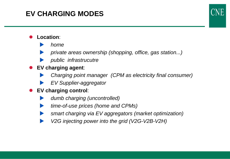## **EV CHARGING MODES**

#### **Location**:

- *home*
- *private areas ownership (shopping, office, gas station...)*
- *public infrastrucutre*
- **EV charging agent**:
	- *Charging point manager (CPM as electricity final consumer)*
	- *EV Supplier-aggregator*
- **EV charging control**:
	- *dumb charging (uncontrolled)*
	- *time-of-use prices (home and CPMs)*
	- *smart charging via EV aggregators (market optimization)*
	- *V2G injecting power into the grid (V2G-V2B-V2H)*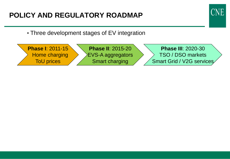## **POLICY AND REGULATORY ROADMAP**



• Three development stages of EV integration

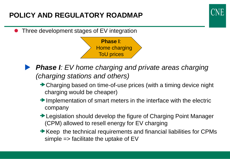## **POLICY AND REGULATORY ROADMAP**

Three development stages of EV integration





- *Phase I: EV home charging and private areas charging (charging stations and others)*
	- Charging based on time-of-use prices (with a timing device night charging would be cheaper)
	- Implementation of smart meters in the interface with the electric company
	- **→ Legislation should develop the figure of Charging Point Manager** (CPM) allowed to resell energy for EV charging
	- Keep the technical requirements and financial liabilities for CPMs simple  $\Rightarrow$  facilitate the uptake of EV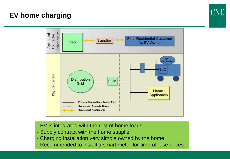## **EV home charging**



- EV is integrated with the rest of home loads
- Supply contract with the home supplier
- Charging installation very simple owned by the home
- Recommended to install a smart meter for time-of–use prices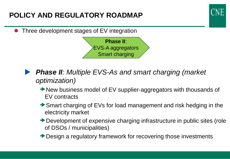## **POLICY AND REGULATORY ROADMAP**

Three development stages of EV integration



- *Phase II: Multiple EVS-As and smart charging (market optimization)*
	- **→ New business model of EV supplier-aggregators with thousands of** EV contracts
	- Smart charging of EVs for load management and risk hedging in the electricity market
	- **→ Development of expensive charging infrastructure in public sites (role** of DSOs / municipalities)
	- **→ Design a regulatory framework for recovering those investments**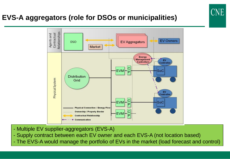## **EVS-A aggregators (role for DSOs or municipalities)**



- Multiple EV supplier-aggregators (EVS-A)
- Supply contract between each EV owner and each EVS-A (not location based)
- The EVS-A would manage the portfolio of EVs in the market (load forecast and control)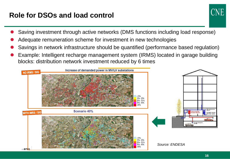## **Role for DSOs and load control**



- Saving investment through active networks (DMS functions including load response)
- Adequate remuneration scheme for investment in new technologies
- Savings in network infrastructure should be quantified (performance based regulation)
- Example: Intelligent recharge management system (IRMS) located in garage building blocks: distribution network investment reduced by 6 times

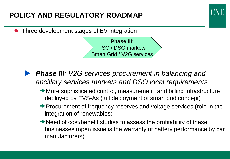## **POLICY AND REGULATORY ROADMAP**

Three development stages of EV integration

**Phase III**: TSO / DSO markets Smart Grid / V2G services

- *Phase III: V2G services procurement in balancing and ancillary services markets and DSO local requirements*
	- More sophisticated control, measurement, and billing infrastructure deployed by EVS-As (full deployment of smart grid concept)
	- Procurement of frequency reserves and voltage services (role in the integration of renewables)
	- **→ Need of cost/benefit studies to assess the profitability of these** businesses (open issue is the warranty of battery performance by car manufacturers)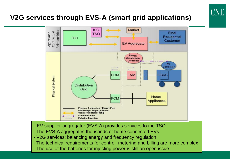## **V2G services through EVS-A (smart grid applications)**



- EV supplier-aggregator (EVS-A) provides services to the TSO
- The EVS-A aggregates thousands of home connected EVs
- V2G services: balancing energy and frequency regulation
- The technical requirements for control, metering and billing are more complex
- The use of the batteries for injecting power is still an open issue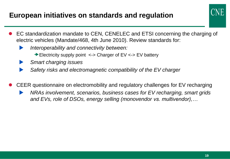#### **European initiatives on standards and regulation**



- EC standardization mandate to CEN, CENELEC and ETSI concerning the charging of electric vehicles (Mandate/468, 4th June 2010). Review standards for:
	- *Interoperability and connectivity between:*
		- **Electricity supply point <-> Charger of EV <-> EV battery**
	- *Smart charging issues*
	- *Safety risks and electromagnetic compatibility of the EV charger*
- CEER questionnaire on electromobility and regulatory challenges for EV recharging
	- *NRAs involvement, scenarios, business cases for EV recharging, smart grids and EVs, role of DSOs, energy selling (monovendor vs. multivendor),…*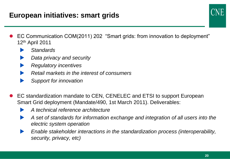#### **European initiatives: smart grids**



- EC Communication COM(2011) 202 "Smart grids: from innovation to deployment" 12th April 2011
	- *Standards*
	- *Data privacy and security*
	- *Regulatory incentives*
	- *Retail markets in the interest of consumers*
	- *Support for innovation*
- EC standardization mandate to CEN, CENELEC and ETSI to support European Smart Grid deployment (Mandate/490, 1st March 2011). Deliverables:
	- *A technical reference architecture*
	- *A set of standards for information exchange and integration of all users into the electric system operation*
	- *Enable stakeholder interactions in the standardization process (interoperability, security, privacy, etc)*